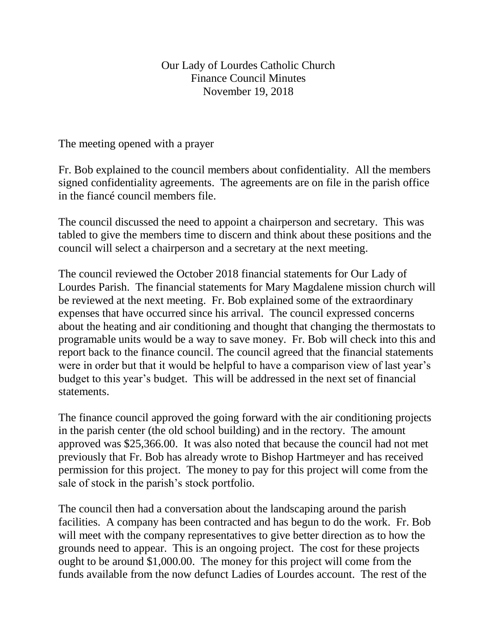## Our Lady of Lourdes Catholic Church Finance Council Minutes November 19, 2018

The meeting opened with a prayer

Fr. Bob explained to the council members about confidentiality. All the members signed confidentiality agreements. The agreements are on file in the parish office in the fiancé council members file.

The council discussed the need to appoint a chairperson and secretary. This was tabled to give the members time to discern and think about these positions and the council will select a chairperson and a secretary at the next meeting.

The council reviewed the October 2018 financial statements for Our Lady of Lourdes Parish. The financial statements for Mary Magdalene mission church will be reviewed at the next meeting. Fr. Bob explained some of the extraordinary expenses that have occurred since his arrival. The council expressed concerns about the heating and air conditioning and thought that changing the thermostats to programable units would be a way to save money. Fr. Bob will check into this and report back to the finance council. The council agreed that the financial statements were in order but that it would be helpful to have a comparison view of last year's budget to this year's budget. This will be addressed in the next set of financial statements.

The finance council approved the going forward with the air conditioning projects in the parish center (the old school building) and in the rectory. The amount approved was \$25,366.00. It was also noted that because the council had not met previously that Fr. Bob has already wrote to Bishop Hartmeyer and has received permission for this project. The money to pay for this project will come from the sale of stock in the parish's stock portfolio.

The council then had a conversation about the landscaping around the parish facilities. A company has been contracted and has begun to do the work. Fr. Bob will meet with the company representatives to give better direction as to how the grounds need to appear. This is an ongoing project. The cost for these projects ought to be around \$1,000.00. The money for this project will come from the funds available from the now defunct Ladies of Lourdes account. The rest of the